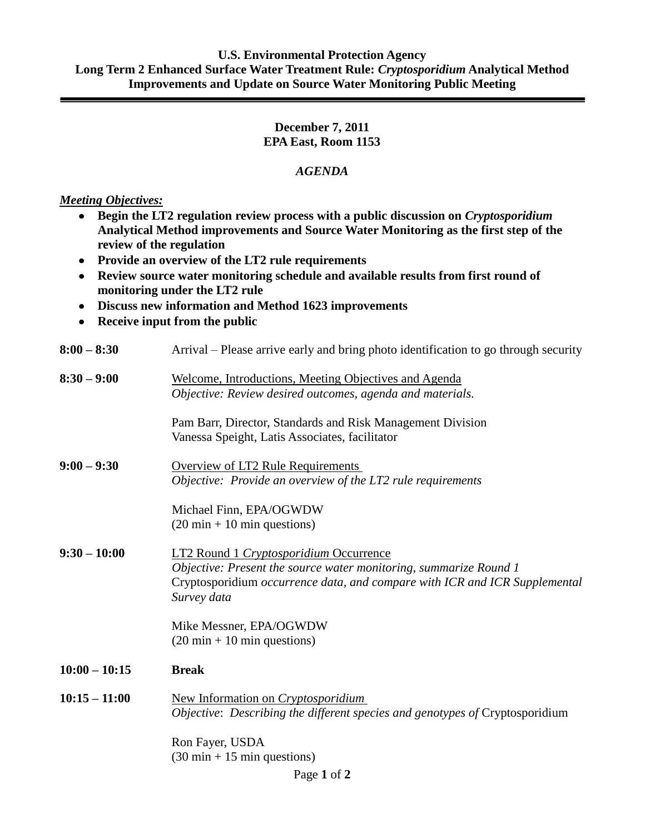## **U.S. Environmental Protection Agency Long Term 2 Enhanced Surface Water Treatment Rule:** *Cryptosporidium* **Analytical Method Improvements and Update on Source Water Monitoring Public Meeting**

## **December 7, 2011 EPA East, Room 1153**

## *AGENDA*

*Meeting Objectives:*

- **Begin the LT2 regulation review process with a public discussion on** *Cryptosporidium* **Analytical Method improvements and Source Water Monitoring as the first step of the review of the regulation**
- **Provide an overview of the LT2 rule requirements**
- **Review source water monitoring schedule and available results from first round of monitoring under the LT2 rule**
- **Discuss new information and Method 1623 improvements**
- **Receive input from the public**

| $8:00 - 8:30$   | Arrival – Please arrive early and bring photo identification to go through security                                                                                                                             |
|-----------------|-----------------------------------------------------------------------------------------------------------------------------------------------------------------------------------------------------------------|
| $8:30 - 9:00$   | Welcome, Introductions, Meeting Objectives and Agenda<br>Objective: Review desired outcomes, agenda and materials.                                                                                              |
|                 | Pam Barr, Director, Standards and Risk Management Division<br>Vanessa Speight, Latis Associates, facilitator                                                                                                    |
| $9:00 - 9:30$   | <b>Overview of LT2 Rule Requirements</b><br>Objective: Provide an overview of the LT2 rule requirements                                                                                                         |
|                 | Michael Finn, EPA/OGWDW<br>$(20 \text{ min} + 10 \text{ min questions})$                                                                                                                                        |
| $9:30 - 10:00$  | <b>LT2 Round 1 Cryptosporidium Occurrence</b><br>Objective: Present the source water monitoring, summarize Round 1<br>Cryptosporidium occurrence data, and compare with ICR and ICR Supplemental<br>Survey data |
|                 | Mike Messner, EPA/OGWDW<br>$(20 \text{ min} + 10 \text{ min questions})$                                                                                                                                        |
| $10:00 - 10:15$ | <b>Break</b>                                                                                                                                                                                                    |
| $10:15 - 11:00$ | New Information on Cryptosporidium<br>Objective: Describing the different species and genotypes of Cryptosporidium                                                                                              |
|                 | Ron Fayer, USDA<br>$(30 \text{ min} + 15 \text{ min questions})$                                                                                                                                                |

Page **1** of **2**